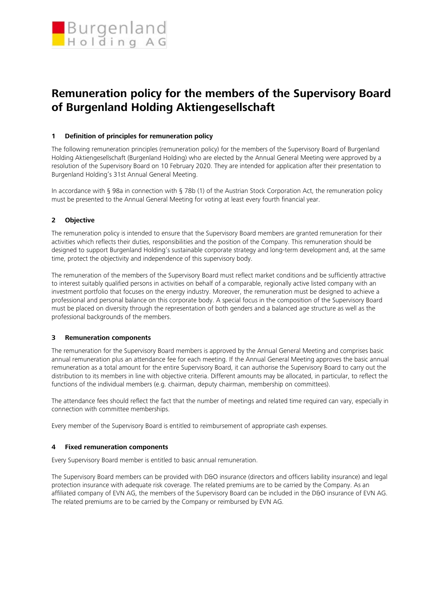

# **Remuneration policy for the members of the Supervisory Board of Burgenland Holding Aktiengesellschaft**

## **1 Definition of principles for remuneration policy**

The following remuneration principles (remuneration policy) for the members of the Supervisory Board of Burgenland Holding Aktiengesellschaft (Burgenland Holding) who are elected by the Annual General Meeting were approved by a resolution of the Supervisory Board on 10 February 2020. They are intended for application after their presentation to Burgenland Holding's 31st Annual General Meeting.

In accordance with § 98a in connection with § 78b (1) of the Austrian Stock Corporation Act, the remuneration policy must be presented to the Annual General Meeting for voting at least every fourth financial year.

## **2 Objective**

The remuneration policy is intended to ensure that the Supervisory Board members are granted remuneration for their activities which reflects their duties, responsibilities and the position of the Company. This remuneration should be designed to support Burgenland Holding's sustainable corporate strategy and long-term development and, at the same time, protect the objectivity and independence of this supervisory body.

The remuneration of the members of the Supervisory Board must reflect market conditions and be sufficiently attractive to interest suitably qualified persons in activities on behalf of a comparable, regionally active listed company with an investment portfolio that focuses on the energy industry. Moreover, the remuneration must be designed to achieve a professional and personal balance on this corporate body. A special focus in the composition of the Supervisory Board must be placed on diversity through the representation of both genders and a balanced age structure as well as the professional backgrounds of the members.

## **3 Remuneration components**

The remuneration for the Supervisory Board members is approved by the Annual General Meeting and comprises basic annual remuneration plus an attendance fee for each meeting. If the Annual General Meeting approves the basic annual remuneration as a total amount for the entire Supervisory Board, it can authorise the Supervisory Board to carry out the distribution to its members in line with objective criteria. Different amounts may be allocated, in particular, to reflect the functions of the individual members (e.g. chairman, deputy chairman, membership on committees).

The attendance fees should reflect the fact that the number of meetings and related time required can vary, especially in connection with committee memberships.

Every member of the Supervisory Board is entitled to reimbursement of appropriate cash expenses.

## **4 Fixed remuneration components**

Every Supervisory Board member is entitled to basic annual remuneration.

The Supervisory Board members can be provided with D&O insurance (directors and officers liability insurance) and legal protection insurance with adequate risk coverage. The related premiums are to be carried by the Company. As an affiliated company of EVN AG, the members of the Supervisory Board can be included in the D&O insurance of EVN AG. The related premiums are to be carried by the Company or reimbursed by EVN AG.